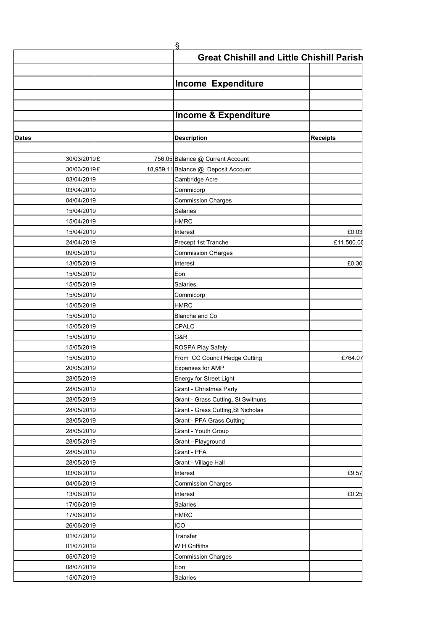|              | Ş                                                |                 |
|--------------|--------------------------------------------------|-----------------|
|              | <b>Great Chishill and Little Chishill Parish</b> |                 |
|              |                                                  |                 |
|              |                                                  |                 |
|              | <b>Income Expenditure</b>                        |                 |
|              |                                                  |                 |
|              |                                                  |                 |
|              | <b>Income &amp; Expenditure</b>                  |                 |
|              |                                                  |                 |
| <b>Dates</b> | <b>Description</b>                               | <b>Receipts</b> |
| 30/03/2019 £ | 756.05 Balance @ Current Account                 |                 |
| 30/03/2019 £ | 18,959.11 Balance @ Deposit Account              |                 |
| 03/04/2019   | Cambridge Acre                                   |                 |
| 03/04/2019   | Commicorp                                        |                 |
| 04/04/2019   | <b>Commission Charges</b>                        |                 |
| 15/04/2019   | Salaries                                         |                 |
| 15/04/2019   | <b>HMRC</b>                                      |                 |
| 15/04/2019   | Interest                                         | £0.03           |
| 24/04/2019   | Precept 1st Tranche                              | £11,500.0       |
| 09/05/2019   | <b>Commission CHarges</b>                        |                 |
| 13/05/2019   | Interest                                         | £0.30           |
| 15/05/2019   | Eon                                              |                 |
| 15/05/2019   | Salaries                                         |                 |
| 15/05/2019   | Commicorp                                        |                 |
| 15/05/2019   | <b>HMRC</b>                                      |                 |
| 15/05/2019   | Blanche and Co                                   |                 |
| 15/05/2019   | CPALC                                            |                 |
| 15/05/2019   | G&R                                              |                 |
| 15/05/2019   | ROSPA Play Safely                                |                 |
| 15/05/2019   | From CC Council Hedge Cutting                    | £764.0          |
| 20/05/2019   | Expenses for AMP                                 |                 |
| 28/05/2019   | Energy for Street Light                          |                 |
| 28/05/2019   | Grant - Christmas Party                          |                 |
| 28/05/2019   | Grant - Grass Cutting, St Swithuns               |                 |
| 28/05/2019   | Grant - Grass Cutting, St Nicholas               |                 |
| 28/05/2019   | Grant - PFA Grass Cutting                        |                 |
| 28/05/2019   | Grant - Youth Group                              |                 |
| 28/05/2019   | Grant - Playground                               |                 |
| 28/05/2019   | Grant - PFA                                      |                 |
| 28/05/2019   | Grant - Village Hall                             |                 |
| 03/06/2019   | Interest                                         | £9.57           |
| 04/06/2019   | <b>Commission Charges</b>                        |                 |
| 13/06/2019   | Interest                                         | £0.25           |
| 17/06/2019   | Salaries                                         |                 |
| 17/06/2019   | <b>HMRC</b>                                      |                 |
| 26/06/2019   | ICO                                              |                 |
| 01/07/2019   | Transfer                                         |                 |
| 01/07/2019   | W H Griffiths                                    |                 |
| 05/07/2019   | <b>Commission Charges</b>                        |                 |
| 08/07/2019   | Eon                                              |                 |
| 15/07/2019   | Salaries                                         |                 |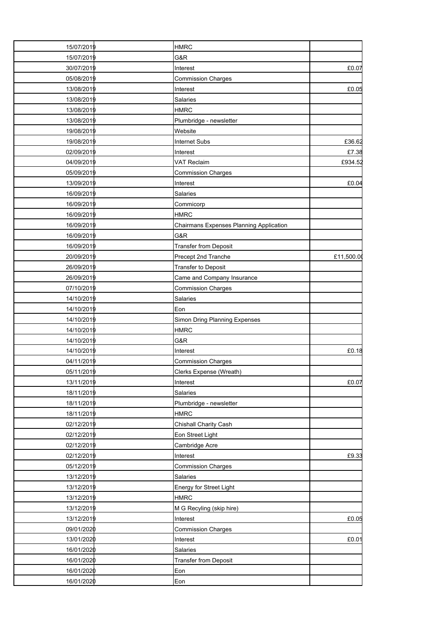| 15/07/2019 | <b>HMRC</b>                             |           |
|------------|-----------------------------------------|-----------|
| 15/07/2019 | G&R                                     |           |
| 30/07/2019 | Interest                                | £0.07     |
| 05/08/2019 | Commission Charges                      |           |
| 13/08/2019 | Interest                                | £0.05     |
| 13/08/2019 | <b>Salaries</b>                         |           |
| 13/08/2019 | <b>HMRC</b>                             |           |
| 13/08/2019 | Plumbridge - newsletter                 |           |
| 19/08/2019 | Website                                 |           |
| 19/08/2019 | Internet Subs                           | £36.62    |
| 02/09/2019 | Interest                                | £7.38     |
| 04/09/2019 | <b>VAT Reclaim</b>                      | £934.52   |
| 05/09/2019 | <b>Commission Charges</b>               |           |
| 13/09/2019 | Interest                                | £0.04     |
| 16/09/2019 | <b>Salaries</b>                         |           |
| 16/09/2019 | Commicorp                               |           |
| 16/09/2019 | <b>HMRC</b>                             |           |
| 16/09/2019 | Chairmans Expenses Planning Application |           |
| 16/09/2019 | G&R                                     |           |
| 16/09/2019 | <b>Transfer from Deposit</b>            |           |
| 20/09/2019 | Precept 2nd Tranche                     | £11,500.0 |
| 26/09/2019 | <b>Transfer to Deposit</b>              |           |
| 26/09/2019 | Came and Company Insurance              |           |
| 07/10/2019 | <b>Commission Charges</b>               |           |
| 14/10/2019 | Salaries                                |           |
| 14/10/2019 | Eon                                     |           |
| 14/10/2019 | Simon Dring Planning Expenses           |           |
| 14/10/2019 | <b>HMRC</b>                             |           |
| 14/10/2019 | G&R                                     |           |
| 14/10/2019 | Interest                                | £0.18     |
| 04/11/2019 | <b>Commission Charges</b>               |           |
| 05/11/2019 | Clerks Expense (Wreath)                 |           |
| 13/11/2019 | Interest                                | £0.07     |
| 18/11/2019 | Salaries                                |           |
| 18/11/2019 | Plumbridge - newsletter                 |           |
| 18/11/2019 | <b>HMRC</b>                             |           |
| 02/12/2019 | Chishall Charity Cash                   |           |
| 02/12/2019 | Eon Street Light                        |           |
| 02/12/2019 | Cambridge Acre                          |           |
| 02/12/2019 | Interest                                | £9.33     |
| 05/12/2019 | <b>Commission Charges</b>               |           |
| 13/12/2019 | Salaries                                |           |
| 13/12/2019 | Energy for Street Light                 |           |
| 13/12/2019 | <b>HMRC</b>                             |           |
| 13/12/2019 | M G Recyling (skip hire)                |           |
| 13/12/2019 | Interest                                | £0.05     |
| 09/01/2020 | <b>Commission Charges</b>               |           |
| 13/01/2020 | Interest                                | £0.01     |
| 16/01/2020 | Salaries                                |           |
| 16/01/2020 | <b>Transfer from Deposit</b>            |           |
| 16/01/2020 | Eon                                     |           |
| 16/01/2020 | Eon                                     |           |
|            |                                         |           |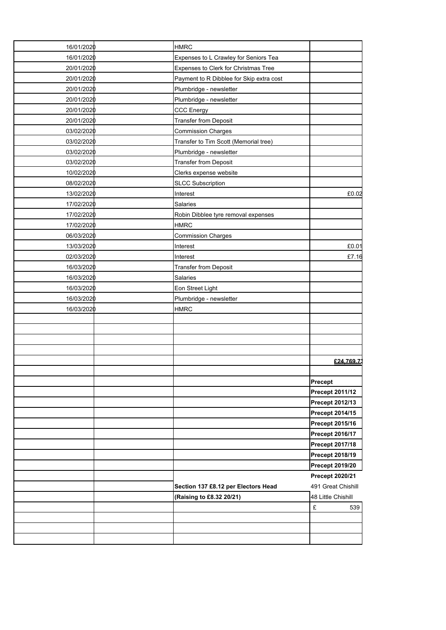| 16/01/2020 | <b>HMRC</b>                              |                        |
|------------|------------------------------------------|------------------------|
| 16/01/2020 | Expenses to L Crawley for Seniors Tea    |                        |
| 20/01/2020 | Expenses to Clerk for Christmas Tree     |                        |
| 20/01/2020 | Payment to R Dibblee for Skip extra cost |                        |
| 20/01/2020 | Plumbridge - newsletter                  |                        |
| 20/01/2020 | Plumbridge - newsletter                  |                        |
| 20/01/2020 | <b>CCC Energy</b>                        |                        |
| 20/01/2020 | <b>Transfer from Deposit</b>             |                        |
| 03/02/2020 | <b>Commission Charges</b>                |                        |
| 03/02/2020 | Transfer to Tim Scott (Memorial tree)    |                        |
| 03/02/2020 | Plumbridge - newsletter                  |                        |
| 03/02/2020 | <b>Transfer from Deposit</b>             |                        |
| 10/02/2020 | Clerks expense website                   |                        |
| 08/02/2020 | <b>SLCC Subscription</b>                 |                        |
| 13/02/2020 | Interest                                 | £0.02                  |
| 17/02/2020 | <b>Salaries</b>                          |                        |
| 17/02/2020 | Robin Dibblee tyre removal expenses      |                        |
| 17/02/2020 | <b>HMRC</b>                              |                        |
| 06/03/2020 | <b>Commission Charges</b>                |                        |
| 13/03/2020 | Interest                                 | £0.01                  |
| 02/03/2020 | Interest                                 | £7.16                  |
| 16/03/2020 | <b>Transfer from Deposit</b>             |                        |
| 16/03/2020 | Salaries                                 |                        |
| 16/03/2020 | Eon Street Light                         |                        |
| 16/03/2020 | Plumbridge - newsletter                  |                        |
| 16/03/2020 | <b>HMRC</b>                              |                        |
|            |                                          |                        |
|            |                                          |                        |
|            |                                          |                        |
|            |                                          |                        |
|            |                                          | £24,769.7              |
|            |                                          |                        |
|            |                                          | Precept                |
|            |                                          | <b>Precept 2011/12</b> |
|            |                                          | Precept 2012/13        |
|            |                                          | Precept 2014/15        |
|            |                                          | Precept 2015/16        |
|            |                                          | <b>Precept 2016/17</b> |
|            |                                          | Precept 2017/18        |
|            |                                          | <b>Precept 2018/19</b> |
|            |                                          | <b>Precept 2019/20</b> |
|            |                                          | Precept 2020/21        |
|            | Section 137 £8.12 per Electors Head      | 491 Great Chishill     |
|            | (Raising to £8.32 20/21)                 | 48 Little Chishill     |
|            |                                          | £<br>539               |
|            |                                          |                        |
|            |                                          |                        |
|            |                                          |                        |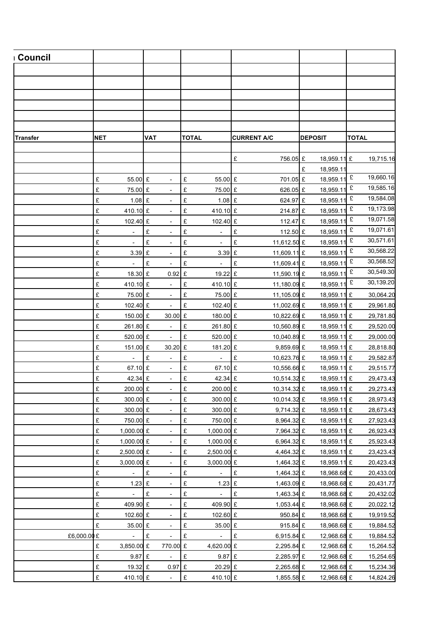| <b>∟Council</b> |                                          |                               |                                       |                         |                            |                        |
|-----------------|------------------------------------------|-------------------------------|---------------------------------------|-------------------------|----------------------------|------------------------|
|                 |                                          |                               |                                       |                         |                            |                        |
|                 |                                          |                               |                                       |                         |                            |                        |
|                 |                                          |                               |                                       |                         |                            |                        |
|                 |                                          |                               |                                       |                         |                            |                        |
|                 |                                          |                               |                                       |                         |                            |                        |
|                 |                                          |                               |                                       |                         |                            |                        |
| <b>Transfer</b> | <b>NET</b>                               | <b>VAT</b>                    | <b>TOTAL</b>                          | <b>CURRENT A/C</b>      | <b>DEPOSIT</b>             | <b>TOTAL</b>           |
|                 |                                          |                               |                                       |                         |                            |                        |
|                 |                                          |                               |                                       | £<br>756.05 £           | 18,959.11 £                | 19,715.16              |
|                 |                                          |                               |                                       |                         | £<br>18,959.1              |                        |
|                 | £<br>55.00 £                             | $\sim$                        | £<br>55.00 £                          | 701.05 £                | 18,959.11                  | 19,660.16<br>£         |
|                 | £<br>75.00 £                             | $\overline{\phantom{a}}$      | £<br>75.00 £                          | 626.05 £                | 18,959.11                  | 19,585.16<br>£         |
|                 | $\pounds$<br>$1.08$ £                    | $\overline{\phantom{a}}$      | £<br>1.08 $E$                         | 624.97 £                | 18,959.1                   | 19,584.08<br>£         |
|                 | $\pounds$<br>410.10 £                    | $\sim$                        | £<br>410.10 £                         | 214.87 £                | 18,959.11                  | 19,173.98<br>£         |
|                 | £<br>102.40 £                            | $\overline{\phantom{a}}$      | £<br>102.40 £                         | 112.47 £                | 18,959.11                  | 19,071.58<br>£         |
|                 | $\pounds$<br>$\mathcal{L}_{\mathcal{A}}$ | £<br>$\overline{\phantom{a}}$ | £<br>$\overline{\phantom{a}}$         | £<br>112.50 £           | 18,959.1                   | 19,071.61<br>£         |
|                 | $\pounds$<br>$\sim$                      | $\pounds$<br>$\sim$           | £<br>$\overline{\phantom{a}}$         | £<br>11,612.50 £        | 18,959.11                  | 30,571.61<br>£         |
|                 | $\pounds$<br>$3.39$ £                    | $\sim$                        | £<br>3.39 £                           | 11,609.11 £             | 18,959.11                  | 30,568.22<br>£         |
|                 | $\pounds$<br>$\sim$                      | £<br>$\blacksquare$           | £<br>$\overline{\phantom{a}}$         | 11,609.41 £<br>£        | 18,959.1                   | 30,568.52<br>£         |
|                 | $\pounds$<br>18.30 £                     | $0.92$ £                      | 19.22 £                               | 11,590.19 £             | 18,959.11                  | 30,549.30<br>£         |
|                 | £<br>410.10 £                            | $\sim$                        | £<br>410.10 £                         | 11,180.09 £             | 18,959.11                  | 30,139.20<br>£         |
|                 | £<br>75.00 £                             | $\sim$                        | $\pounds$<br>75.00 £                  | 11,105.09 £             | 18,959.11 £                | 30,064.20              |
|                 | $\pounds$<br>102.40 £                    | $\sim$                        | $\pounds$<br>102.40 £                 | 11,002.69 £             | 18,959.11 £                | 29,961.80              |
|                 | £<br>150.00 £                            | 30.00 £                       | 180.00 £                              | 10,822.69 £             | 18,959.11 £                | 29,781.80              |
|                 | $\pounds$<br>261.80 £                    | $\sim$                        | $\pounds$<br>261.80 £                 | 10,560.89 £             | 18,959.11 £                | 29,520.00              |
|                 | £<br>520.00 £                            | $\sim$                        | $\pounds$<br>520.00 £                 | 10,040.89 £             | 18,959.11 £                | 29,000.00              |
|                 | £<br>151.00 £                            | 30.20 £                       | 181.20 £                              | 9,859.69 £              | 18,959.11 £                | 28,818.80              |
|                 | $\pounds$<br>$\sim$                      | $\pounds$<br>$\blacksquare$   | $\pounds$<br>$\overline{\phantom{a}}$ | £<br>10,623.76 £        | 18,959.11 £                | 29,582.87              |
|                 | £<br>67.10 £                             | $\sim$                        | $\pounds$<br>67.10 £                  | 10,556.66 £             | 18,959.11 £                | 29,515.77              |
|                 | £<br>42.34 £                             | $\sim$                        | $\pounds$<br>42.34 £                  | 10,514.32 £             | 18,959.11 £                | 29,473.43              |
|                 | $200.00$ £<br>£                          | $\sim$                        | E<br>200.00 £                         | 10,314.32 £             | 18,959.11 £                | 29,273.43              |
|                 | £<br>300.00 £                            | $\mathcal{L}_{\mathcal{A}}$   | $\pounds$<br>300.00 £                 | 10,014.32 £             | 18,959.11 £                | 28,973.43              |
|                 | £<br>300.00 £                            | $\sim$                        | $\pounds$<br>300.00 £                 | 9,714.32 £              | 18,959.11 £                | 28,673.43              |
|                 | $\pounds$<br>750.00 £                    | $\sim$                        | $\pounds$<br>750.00 £                 | 8,964.32 £              | 18,959.11 £                | 27,923.43              |
|                 | £<br>1,000.00 £                          | $\sim$                        | $\pounds$<br>1,000.00 £               | 7,964.32 £              | 18,959.11 £                | 26,923.43              |
|                 | £<br>1,000.00 £                          | $\sim$                        | $\pounds$<br>1,000.00 £               | 6,964.32 £              | 18,959.11 £                | 25,923.43              |
|                 | £<br>2,500.00 £                          | $\sim$                        | $\pounds$<br>2,500.00 £               | 4,464.32 £              | 18,959.11 £                | 23,423.43              |
|                 | £<br>3,000.00 £                          | $\sim$                        | $\pounds$<br>3,000.00 £               | 1,464.32 £              | 18,959.11 £                | 20,423.43              |
|                 | £<br>$\sim$                              | E<br>$\sim$                   | $\pounds$<br>$\sim$                   | $\pounds$<br>1,464.32 £ | 18,968.68 £                | 20,433.00              |
|                 | $\pounds$<br>$1.23$ £                    | $\sim$                        | $\pounds$<br>$1.23$ £                 | 1,463.09 £              | 18,968.68 £                | 20,431.77              |
|                 | £<br>$\sim$<br>£                         | E<br>$\sim$                   | $\pounds$<br>$\sim$<br>$\pounds$      | £<br>1,463.34 £         | 18,968.68 £                | 20,432.02              |
|                 | 409.90 £<br>£<br>102.60 £                | $\sim$                        | 409.90 £<br>$\pounds$<br>102.60 £     | 1,053.44 £<br>950.84 £  | 18,968.68 £                | 20,022.12              |
|                 | £<br>35.00 £                             | $\sim$<br>$\sim$              | $\pounds$<br>35.00 £                  | 915.84 £                | 18,968.68 £<br>18,968.68 £ | 19,919.52              |
| £6,000.00 £     | $\sim$                                   | E                             | $\pounds$                             | E<br>6,915.84 £         | 12,968.68 £                | 19,884.52<br>19,884.52 |
|                 | $\pounds$<br>3,850.00 £                  | $\sim$<br>770.00 £            | $\sim$<br>4,620.00 £                  | 2,295.84 £              | 12,968.68 £                |                        |
|                 | £<br>9.87 £                              | $\sim$                        | £<br>$9.87$ £                         | 2,285.97 £              | 12,968.68 £                | 15,264.52              |
|                 | £<br>19.32 £                             | $0.97$ £                      | 20.29 £                               | 2,265.68 £              | 12,968.68 £                | 15,254.65<br>15,234.36 |
|                 | $\pounds$<br>410.10 £                    | $\sim$                        | £<br>410.10 £                         | 1,855.58 £              | 12,968.68 £                | 14,824.26              |
|                 |                                          |                               |                                       |                         |                            |                        |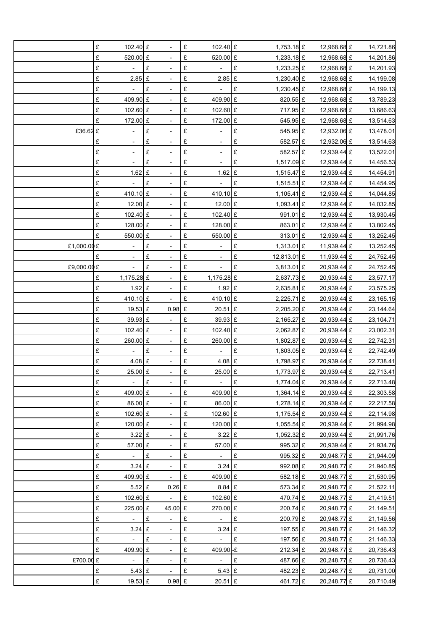|             | £<br>102.40 £                 | $\overline{\phantom{a}}$              | £ | 102.40 £                     | 1,753.18 £              | 12,968.68 £                | 14,721.86              |
|-------------|-------------------------------|---------------------------------------|---|------------------------------|-------------------------|----------------------------|------------------------|
|             | £<br>520.00 £                 |                                       | £ | 520.00 £                     | 1,233.18 £              | 12,968.68 £                | 14,201.86              |
|             | £                             | £                                     | £ |                              | £<br>1,233.25 £         | 12,968.68 £                | 14,201.93              |
|             | £<br>$2.85$ £                 | $\overline{\phantom{a}}$              | £ | $2.85$ £                     | 1,230.40 £              | 12,968.68 £                | 14,199.08              |
|             | £<br>$\blacksquare$           | £                                     | £ | $\overline{\phantom{a}}$     | £<br>1,230.45 £         | 12,968.68 £                | 14,199.13              |
|             | £<br>409.90 £                 |                                       | £ | 409.90 £                     | 820.55 £                | 12,968.68 £                | 13,789.23              |
|             | £<br>102.60 £                 | $\overline{\phantom{a}}$              | £ | 102.60 £                     | 717.95 £                | 12,968.68 £                | 13,686.63              |
|             | £<br>172.00 £                 |                                       | £ | 172.00 £                     | 545.95 £                | 12,968.68 £                | 13,514.63              |
| £36.62 £    | $\qquad \qquad -$             | £                                     | £ | $\qquad \qquad \blacksquare$ | £<br>545.95 £           | 12,932.06 £                | 13,478.01              |
|             | £<br>$\overline{a}$           | £<br>$\overline{\phantom{a}}$         | £ | $\overline{\phantom{a}}$     | £<br>582.57 £           | 12,932.06 £                | 13,514.63              |
|             | £<br>$\centerdot$             | £                                     | £ | $\overline{\phantom{0}}$     | £<br>582.57 £           | 12,939.44 £                | 13,522.01              |
|             | £                             | £                                     | £ |                              | £<br>1,517.09 £         | 12,939.44 £                | 14,456.53              |
|             | £<br>1.62                     | $\pounds$<br>$\overline{\phantom{a}}$ | £ | $1.62$ £                     | 1,515.47 £              | 12,939.44 £                | 14,454.91              |
|             | £                             | £                                     | £ |                              | £<br>1,515.51 £         | 12,939.44 £                | 14,454.95              |
|             | £<br>410.10 £                 |                                       | £ | 410.10 £                     | 1,105.41 £              | 12,939.44 £                | 14,044.85              |
|             | £<br>12.00 £                  | $\overline{\phantom{a}}$              | £ | 12.00 £                      | 1,093.41 £              | 12,939.44 £                | 14,032.85              |
|             | £<br>102.40 £                 |                                       | £ | 102.40 £                     | 991.01 £                | 12,939.44 £                | 13,930.45              |
|             | £<br>128.00 £                 |                                       | £ | 128.00 £                     | 863.01 £                | 12,939.44 £                | 13,802.45              |
|             | £<br>550.00 £                 | $\overline{\phantom{a}}$              | £ | 550.00 £                     | 313.01 £                | 12,939.44 £                | 13,252.45              |
| £1,000.00 £ |                               | £                                     | £ | $\frac{1}{2}$                | £<br>1,313.01 £         | 11,939.44 £                | 13,252.45              |
|             | £                             | £                                     | £ |                              | £<br>12,813.01 £        | 11,939.44 £                | 24,752.45              |
| £9,000.00 £ | $\frac{1}{2}$                 | £<br>$\overline{\phantom{a}}$         | £ | $\overline{\phantom{a}}$     | £<br>3,813.01 £         | 20,939.44 £                | 24,752.45              |
|             | 1,175.28 £<br>£               |                                       | £ | 1,175.28 £                   | 2,637.73 £              | 20,939.44 £                | 23,577.17              |
|             | £<br>$1.92$ £                 |                                       | £ | $1.92$ £                     | 2,635.81 £              | 20,939.44 £                | 23,575.25              |
|             | £<br>410.10 £                 | $\overline{\phantom{a}}$              | £ | 410.10 £                     | 2,225.71 £              | 20,939.44 £                | 23,165.15              |
|             | £<br>19.53 £                  | 0.98                                  | £ | 20.51 £                      | 2,205.20 £              | 20,939.44 £                | 23,144.64              |
|             | £<br>39.93 £                  |                                       | £ | 39.93 £                      | 2,165.27 £              | 20,939.44 £                | 23,104.71              |
|             | £<br>102.40 £                 | $\blacksquare$                        | £ | 102.40 £                     | 2,062.87 £              | 20,939.44 £                | 23,002.31              |
|             | £<br>260.00 £                 |                                       | £ | 260.00 £                     | 1,802.87 £              | 20,939.44 £                | 22,742.31              |
|             | £                             | £                                     | £ |                              | £<br>1,803.05 £         | 20,939.44 £                | 22,742.49              |
|             | £<br>$4.08$ £                 |                                       | £ | 4.08 £                       | 1,798.97 £              | 20,939.44 £                | 22,738.41              |
|             | £<br>25.00 £                  |                                       | £ | 25.00 £                      | 1,773.97 £              | 20,939.44 £                | 22,713.41              |
|             | £                             | $\pounds$                             | £ |                              | $\pounds$<br>1,774.04 £ | 20,939.44 £                | 22,713.48              |
|             | £<br>409.00 £                 | $\overline{\phantom{a}}$              | £ | 409.90 £                     | 1,364.14 £              | 20,939.44 £                | 22,303.58              |
|             | £<br>86.00 £                  |                                       | £ | 86.00 £                      | 1,278.14 £              | 20,939.44 £                | 22,217.58              |
|             | £<br>102.60 £                 |                                       | £ | 102.60 £                     | 1,175.54 £              | 20,939.44 £                | 22,114.98              |
|             | £<br>120.00 £                 | $\blacksquare$                        | £ | 120.00 £                     | 1,055.54 £              | 20,939.44 £                | 21,994.98              |
|             | £<br>$3.22$ £                 |                                       | £ | $3.22$ £                     | 1,052.32 £              | 20,939.44 £                | 21,991.76              |
|             | £<br>57.00 £                  |                                       | £ | 57.00 £                      | 995.32 £                | 20,939.44 £                | 21,934.76              |
|             | £<br>$\overline{\phantom{a}}$ | £<br>$\overline{\phantom{a}}$         | £ | $\overline{\phantom{a}}$     | £<br>995.32 £           | 20,948.77 £                | 21,944.09              |
|             | £<br>$3.24 \text{ }E$         |                                       | £ | $3.24 \text{ }E$             | 992.08 £                | 20,948.77 £                | 21,940.85              |
|             | £<br>409.90 £                 |                                       | £ | 409.90 £                     | 582.18 £                | 20,948.77 £                | 21,530.95              |
|             | £<br>$5.52$ £                 | $0.26$ £                              |   | 8.84 £                       | 573.34 £                | 20,948.77 £                | 21,522.11              |
|             | £<br>102.60 £                 |                                       | £ | 102.60 £                     | 470.74 £                | 20,948.77 £                | 21,419.51              |
|             | £<br>225.00 £                 | 45.00 £                               |   | 270.00 £                     | 200.74 £                | 20,948.77 £                | 21,149.51              |
|             | £<br>$\overline{\phantom{a}}$ | £<br>$\blacksquare$                   | £ | $\overline{\phantom{a}}$     | £<br>200.79 £           | 20,948.77 £                | 21,149.56              |
|             | £<br>$3.24$ £                 |                                       | £ | $3.24$ £                     | 197.55 £                | 20,948.77 £                | 21,146.32              |
|             | £                             | $\pounds$                             | £ | $\overline{\phantom{a}}$     | £<br>197.56 £           |                            |                        |
|             | £<br>409.90 £                 | $\overline{\phantom{a}}$              | £ | 409.90 -£                    | 212.34 £                | 20,948.77 £<br>20,948.77 £ | 21,146.33<br>20,736.43 |
| £700.00 £   |                               | £                                     | £ | $\Box$                       | £<br>487.66 £           | 20,248.77 £                |                        |
|             | $5.43$ £<br>£                 |                                       | £ | $5.43 \text{ E}$             | 482.23 £                | 20,248.77 £                | 20,736.43              |
|             | £<br>19.53 £                  | $0.98$ £                              |   | 20.51 £                      | 461.72 £                | 20,248.77 £                | 20,731.00<br>20,710.49 |
|             |                               |                                       |   |                              |                         |                            |                        |